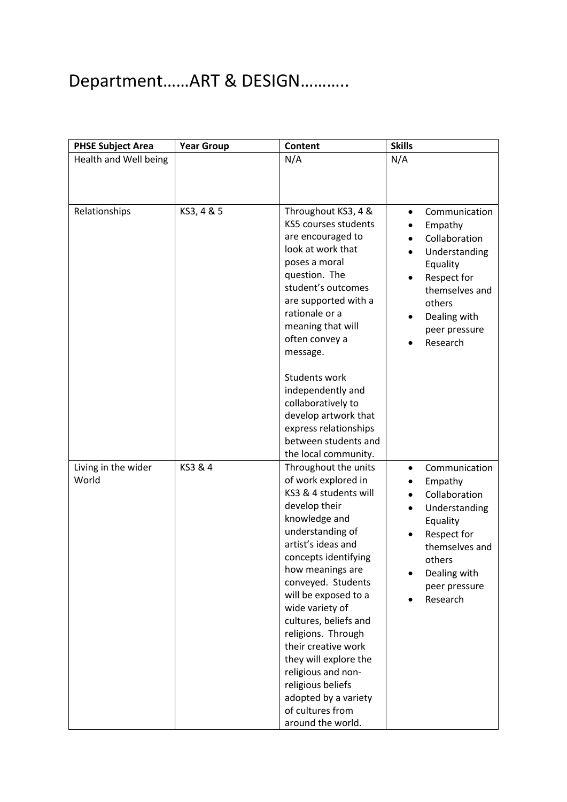# Department……ART & DESIGN………..

| <b>PHSE Subject Area</b>     | <b>Year Group</b> | <b>Content</b>                              | <b>Skills</b>                  |
|------------------------------|-------------------|---------------------------------------------|--------------------------------|
| Health and Well being        |                   | N/A                                         | N/A                            |
|                              |                   |                                             |                                |
|                              |                   |                                             |                                |
|                              |                   |                                             |                                |
| Relationships                | KS3, 4 & 5        | Throughout KS3, 4 &                         | Communication<br>$\bullet$     |
|                              |                   | KS5 courses students                        | Empathy                        |
|                              |                   | are encouraged to<br>look at work that      | Collaboration                  |
|                              |                   | poses a moral                               | Understanding                  |
|                              |                   | question. The                               | Equality                       |
|                              |                   | student's outcomes                          | Respect for<br>themselves and  |
|                              |                   | are supported with a                        | others                         |
|                              |                   | rationale or a                              | Dealing with                   |
|                              |                   | meaning that will                           | peer pressure                  |
|                              |                   | often convey a                              | Research                       |
|                              |                   | message.                                    |                                |
|                              |                   |                                             |                                |
|                              |                   | <b>Students work</b>                        |                                |
|                              |                   | independently and                           |                                |
|                              |                   | collaboratively to                          |                                |
|                              |                   | develop artwork that                        |                                |
|                              |                   | express relationships                       |                                |
|                              |                   | between students and                        |                                |
|                              | KS3 & 4           | the local community.                        |                                |
| Living in the wider<br>World |                   | Throughout the units<br>of work explored in | Communication<br>$\bullet$     |
|                              |                   | KS3 & 4 students will                       | Empathy                        |
|                              |                   | develop their                               | Collaboration<br>Understanding |
|                              |                   | knowledge and                               | Equality                       |
|                              |                   | understanding of                            | Respect for                    |
|                              |                   | artist's ideas and                          | themselves and                 |
|                              |                   | concepts identifying                        | others                         |
|                              |                   | how meanings are                            | Dealing with                   |
|                              |                   | conveyed. Students                          | peer pressure                  |
|                              |                   | will be exposed to a                        | Research                       |
|                              |                   | wide variety of                             |                                |
|                              |                   | cultures, beliefs and                       |                                |
|                              |                   | religions. Through                          |                                |
|                              |                   | their creative work                         |                                |
|                              |                   | they will explore the                       |                                |
|                              |                   | religious and non-<br>religious beliefs     |                                |
|                              |                   | adopted by a variety                        |                                |
|                              |                   | of cultures from                            |                                |
|                              |                   | around the world.                           |                                |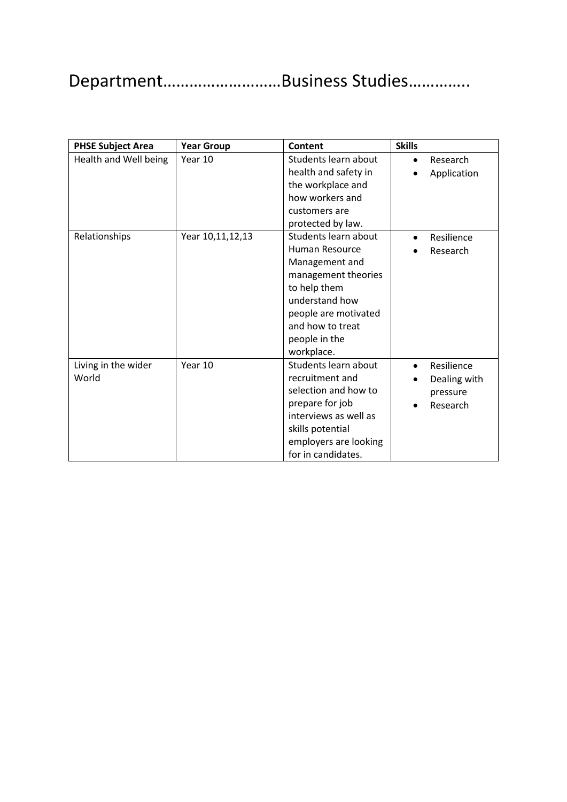### Department………………………Business Studies…………..

| <b>PHSE Subject Area</b>     | <b>Year Group</b> | <b>Content</b>                                                                                                                                                                               | <b>Skills</b>                                                   |
|------------------------------|-------------------|----------------------------------------------------------------------------------------------------------------------------------------------------------------------------------------------|-----------------------------------------------------------------|
| Health and Well being        | Year 10           | Students learn about<br>health and safety in<br>the workplace and<br>how workers and<br>customers are<br>protected by law.                                                                   | Research<br>$\bullet$<br>Application                            |
| Relationships                | Year 10,11,12,13  | Students learn about<br>Human Resource<br>Management and<br>management theories<br>to help them<br>understand how<br>people are motivated<br>and how to treat<br>people in the<br>workplace. | Resilience<br>$\bullet$<br>Research                             |
| Living in the wider<br>World | Year 10           | Students learn about<br>recruitment and<br>selection and how to<br>prepare for job<br>interviews as well as<br>skills potential<br>employers are looking<br>for in candidates.               | Resilience<br>$\bullet$<br>Dealing with<br>pressure<br>Research |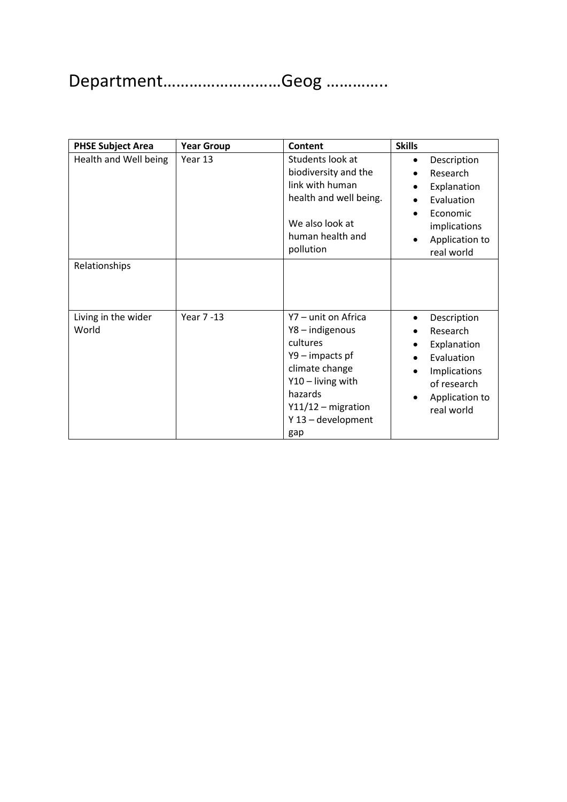# Department………………………Geog …………..

| <b>PHSE Subject Area</b>     | <b>Year Group</b> | <b>Content</b>                                                                                                                                                             | <b>Skills</b>                                                                                                                              |
|------------------------------|-------------------|----------------------------------------------------------------------------------------------------------------------------------------------------------------------------|--------------------------------------------------------------------------------------------------------------------------------------------|
| Health and Well being        | Year 13           | Students look at<br>biodiversity and the<br>link with human<br>health and well being.<br>We also look at<br>human health and<br>pollution                                  | Description<br>$\bullet$<br>Research<br>Explanation<br>Evaluation<br>Economic<br>$\bullet$<br>implications<br>Application to<br>real world |
| Relationships                |                   |                                                                                                                                                                            |                                                                                                                                            |
| Living in the wider<br>World | Year 7-13         | Y7 - unit on Africa<br>Y8-indigenous<br>cultures<br>Y9 - impacts pf<br>climate change<br>Y10 - living with<br>hazards<br>$Y11/12$ – migration<br>Y 13 - development<br>gap | Description<br>$\bullet$<br>Research<br>Explanation<br>Evaluation<br>Implications<br>of research<br>Application to<br>real world           |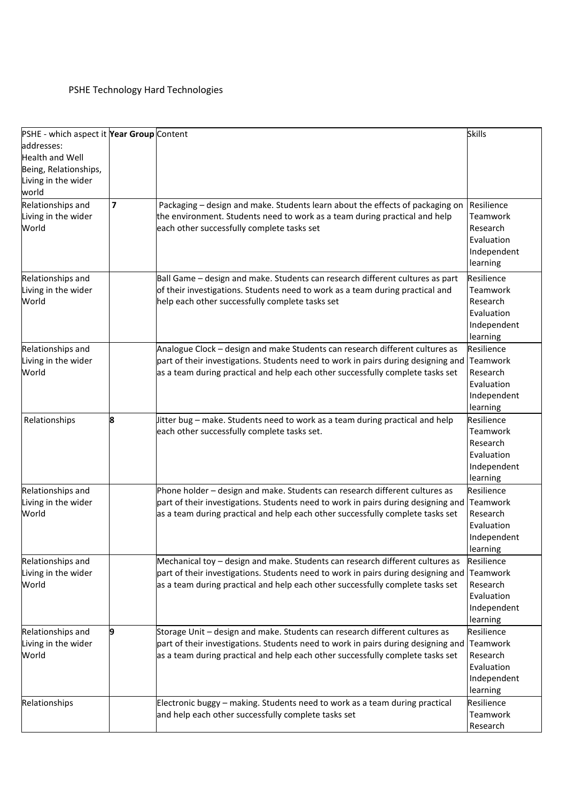#### PSHE Technology Hard Technologies

| PSHE - which aspect it Year Group Content |   |                                                                                   | <b>Skills</b> |
|-------------------------------------------|---|-----------------------------------------------------------------------------------|---------------|
| addresses:                                |   |                                                                                   |               |
| <b>Health and Well</b>                    |   |                                                                                   |               |
| Being, Relationships,                     |   |                                                                                   |               |
| Living in the wider                       |   |                                                                                   |               |
| world                                     |   |                                                                                   |               |
| Relationships and                         | 7 | Packaging - design and make. Students learn about the effects of packaging on     | Resilience    |
| Living in the wider                       |   | the environment. Students need to work as a team during practical and help        | Teamwork      |
| World                                     |   | each other successfully complete tasks set                                        | Research      |
|                                           |   |                                                                                   | Evaluation    |
|                                           |   |                                                                                   | Independent   |
|                                           |   |                                                                                   | learning      |
| Relationships and                         |   | Ball Game - design and make. Students can research different cultures as part     | Resilience    |
| Living in the wider                       |   | of their investigations. Students need to work as a team during practical and     | Teamwork      |
| World                                     |   | help each other successfully complete tasks set                                   | Research      |
|                                           |   |                                                                                   | Evaluation    |
|                                           |   |                                                                                   | Independent   |
|                                           |   |                                                                                   | learning      |
| Relationships and                         |   | Analogue Clock - design and make Students can research different cultures as      | Resilience    |
| Living in the wider                       |   | part of their investigations. Students need to work in pairs during designing and | Teamwork      |
| World                                     |   | as a team during practical and help each other successfully complete tasks set    | Research      |
|                                           |   |                                                                                   | Evaluation    |
|                                           |   |                                                                                   | Independent   |
|                                           |   |                                                                                   | learning      |
| Relationships                             |   | litter bug – make. Students need to work as a team during practical and help      | Resilience    |
|                                           |   | each other successfully complete tasks set.                                       | Teamwork      |
|                                           |   |                                                                                   | Research      |
|                                           |   |                                                                                   | Evaluation    |
|                                           |   |                                                                                   | Independent   |
|                                           |   |                                                                                   | learning      |
| Relationships and                         |   | Phone holder - design and make. Students can research different cultures as       | Resilience    |
| Living in the wider                       |   | part of their investigations. Students need to work in pairs during designing and | Teamwork      |
| World                                     |   | as a team during practical and help each other successfully complete tasks set    | Research      |
|                                           |   |                                                                                   | Evaluation    |
|                                           |   |                                                                                   | Independent   |
|                                           |   |                                                                                   | learning      |
| Relationships and                         |   | Mechanical toy - design and make. Students can research different cultures as     | Resilience    |
| Living in the wider                       |   | part of their investigations. Students need to work in pairs during designing and | Teamwork      |
| World                                     |   | as a team during practical and help each other successfully complete tasks set    | Research      |
|                                           |   |                                                                                   | Evaluation    |
|                                           |   |                                                                                   | Independent   |
|                                           |   |                                                                                   | learning      |
| Relationships and                         |   | Storage Unit – design and make. Students can research different cultures as       | Resilience    |
| Living in the wider                       |   | part of their investigations. Students need to work in pairs during designing and | Teamwork      |
| World                                     |   | as a team during practical and help each other successfully complete tasks set    | Research      |
|                                           |   |                                                                                   | Evaluation    |
|                                           |   |                                                                                   | Independent   |
|                                           |   |                                                                                   | learning      |
| Relationships                             |   | Electronic buggy - making. Students need to work as a team during practical       | Resilience    |
|                                           |   | and help each other successfully complete tasks set                               | Teamwork      |
|                                           |   |                                                                                   | Research      |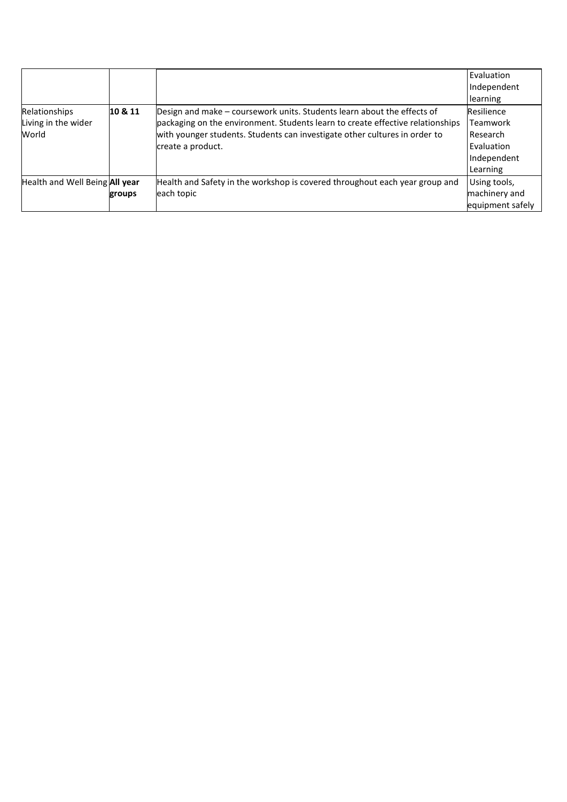|                                               |         |                                                                                                                                                                                                                                                              | Evaluation<br>Independent<br>learning                                       |
|-----------------------------------------------|---------|--------------------------------------------------------------------------------------------------------------------------------------------------------------------------------------------------------------------------------------------------------------|-----------------------------------------------------------------------------|
| Relationships<br>Living in the wider<br>World | 10 & 11 | Design and make – coursework units. Students learn about the effects of<br>packaging on the environment. Students learn to create effective relationships<br>with younger students. Students can investigate other cultures in order to<br>create a product. | Resilience<br>Teamwork<br>Research<br>Evaluation<br>Independent<br>Learning |
| Health and Well Being All year                | groups  | Health and Safety in the workshop is covered throughout each year group and<br>each topic                                                                                                                                                                    | Using tools,<br>machinery and<br>equipment safely                           |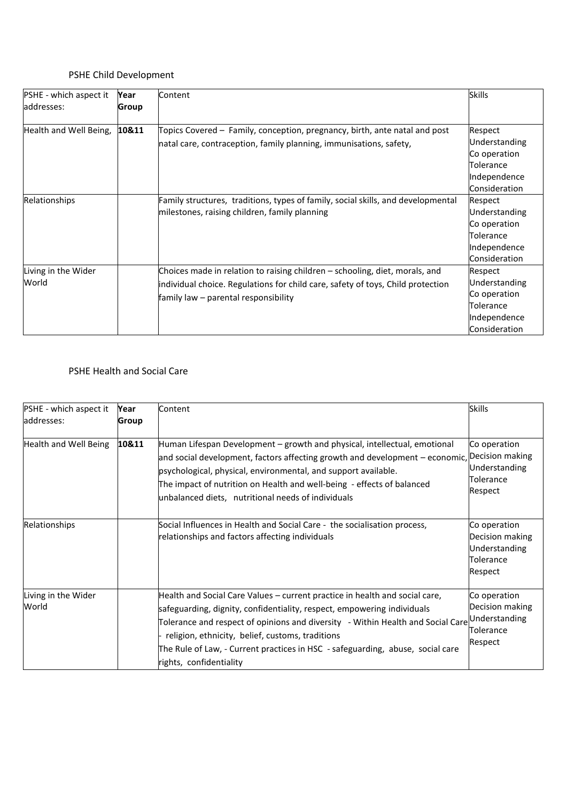#### PSHE Child Development

| PSHE - which aspect it<br>addresses: | Year<br>Group | Content                                                                                                                                                                                                | <b>Skills</b>                                                                          |
|--------------------------------------|---------------|--------------------------------------------------------------------------------------------------------------------------------------------------------------------------------------------------------|----------------------------------------------------------------------------------------|
| Health and Well Being,               | 10&11         | Topics Covered – Family, conception, pregnancy, birth, ante natal and post<br>natal care, contraception, family planning, immunisations, safety,                                                       | Respect<br>Understanding<br>Co operation<br>Tolerance<br>Independence<br>Consideration |
| Relationships                        |               | Family structures, traditions, types of family, social skills, and developmental<br>milestones, raising children, family planning                                                                      | Respect<br>Understanding<br>Co operation<br>Tolerance<br>Independence<br>Consideration |
| Living in the Wider<br>World         |               | Choices made in relation to raising children - schooling, diet, morals, and<br>individual choice. Regulations for child care, safety of toys, Child protection<br>family law – parental responsibility | Respect<br>Understanding<br>Co operation<br>Tolerance<br>Independence<br>Consideration |

#### PSHE Health and Social Care

| PSHE - which aspect it<br>addresses: | Year<br>Group | Content                                                                                                                                                                                                                                                                                                                                                                                                                  | <b>Skills</b>                                                            |
|--------------------------------------|---------------|--------------------------------------------------------------------------------------------------------------------------------------------------------------------------------------------------------------------------------------------------------------------------------------------------------------------------------------------------------------------------------------------------------------------------|--------------------------------------------------------------------------|
| Health and Well Being                | 10&11         | Human Lifespan Development – growth and physical, intellectual, emotional<br>and social development, factors affecting growth and development - economic, Decision making<br>psychological, physical, environmental, and support available.<br>The impact of nutrition on Health and well-being - effects of balanced<br>unbalanced diets, nutritional needs of individuals                                              | Co operation<br>Understanding<br>Tolerance<br>Respect                    |
| Relationships                        |               | Social Influences in Health and Social Care - the socialisation process,<br>relationships and factors affecting individuals                                                                                                                                                                                                                                                                                              | Co operation<br>Decision making<br>Understanding<br>Tolerance<br>Respect |
| Living in the Wider<br>World         |               | Health and Social Care Values - current practice in health and social care,<br>safeguarding, dignity, confidentiality, respect, empowering individuals<br>Tolerance and respect of opinions and diversity - Within Health and Social Care Understanding<br>religion, ethnicity, belief, customs, traditions<br>The Rule of Law, - Current practices in HSC - safeguarding, abuse, social care<br>rights, confidentiality | Co operation<br>Decision making<br>Tolerance<br>Respect                  |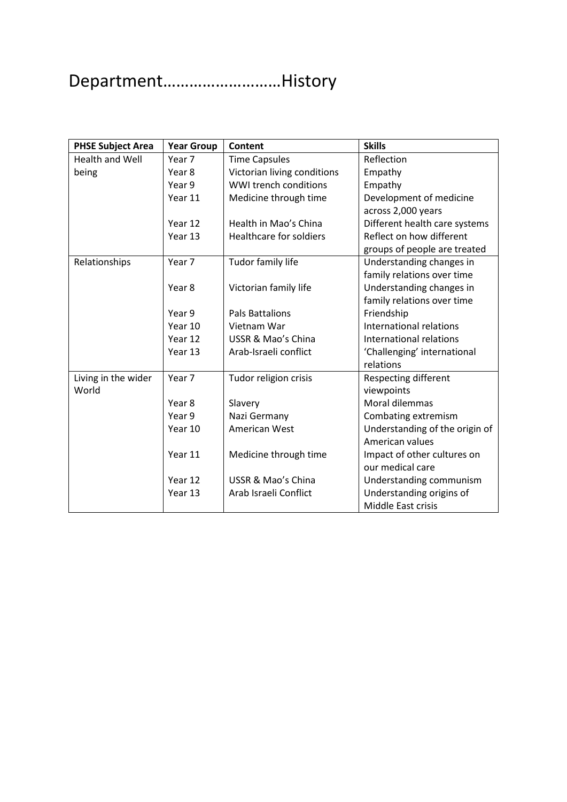## Department………………………History

| <b>PHSE Subject Area</b> | <b>Year Group</b> | Content                        | <b>Skills</b>                  |
|--------------------------|-------------------|--------------------------------|--------------------------------|
| <b>Health and Well</b>   | Year 7            | <b>Time Capsules</b>           | Reflection                     |
| being                    | Year 8            | Victorian living conditions    | Empathy                        |
|                          | Year 9            | WWI trench conditions          | Empathy                        |
|                          | Year 11           | Medicine through time          | Development of medicine        |
|                          |                   |                                | across 2,000 years             |
|                          | Year 12           | Health in Mao's China          | Different health care systems  |
|                          | Year 13           | <b>Healthcare for soldiers</b> | Reflect on how different       |
|                          |                   |                                | groups of people are treated   |
| Relationships            | Year 7            | Tudor family life              | Understanding changes in       |
|                          |                   |                                | family relations over time     |
|                          | Year 8            | Victorian family life          | Understanding changes in       |
|                          |                   |                                | family relations over time     |
|                          | Year 9            | <b>Pals Battalions</b>         | Friendship                     |
|                          | Year 10           | Vietnam War                    | International relations        |
|                          | Year 12           | <b>USSR &amp; Mao's China</b>  | International relations        |
|                          | Year 13           | Arab-Israeli conflict          | 'Challenging' international    |
|                          |                   |                                | relations                      |
| Living in the wider      | Year 7            | Tudor religion crisis          | <b>Respecting different</b>    |
| World                    |                   |                                | viewpoints                     |
|                          | Year 8            | Slavery                        | Moral dilemmas                 |
|                          | Year 9            | Nazi Germany                   | Combating extremism            |
|                          | Year 10           | American West                  | Understanding of the origin of |
|                          |                   |                                | American values                |
|                          | Year 11           | Medicine through time          | Impact of other cultures on    |
|                          |                   |                                | our medical care               |
|                          | Year 12           | USSR & Mao's China             | Understanding communism        |
|                          | Year 13           | Arab Israeli Conflict          | Understanding origins of       |
|                          |                   |                                | Middle East crisis             |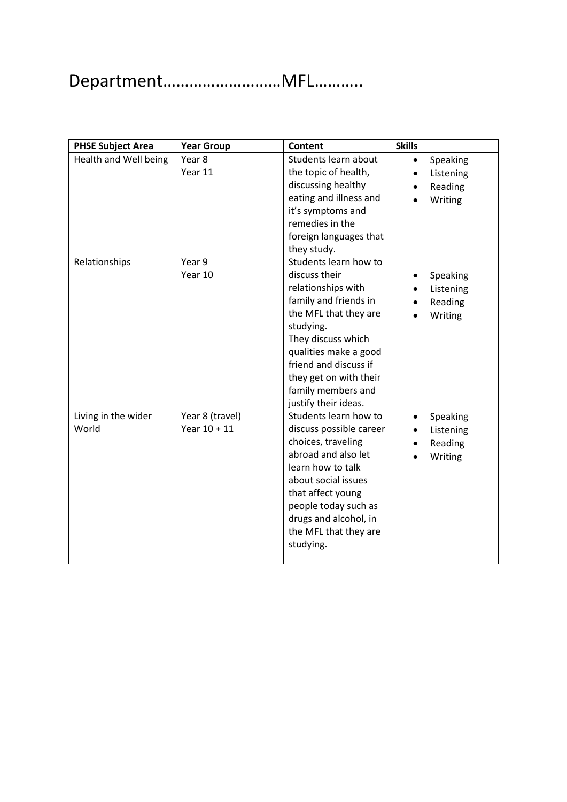## Department………………………MFL………..

| <b>PHSE Subject Area</b>     | <b>Year Group</b>                 | <b>Content</b>                                                                                                                                                                                                                                                              | <b>Skills</b>                                            |
|------------------------------|-----------------------------------|-----------------------------------------------------------------------------------------------------------------------------------------------------------------------------------------------------------------------------------------------------------------------------|----------------------------------------------------------|
| Health and Well being        | Year 8<br>Year 11                 | Students learn about<br>the topic of health,<br>discussing healthy<br>eating and illness and<br>it's symptoms and<br>remedies in the<br>foreign languages that<br>they study.                                                                                               | Speaking<br>$\bullet$<br>Listening<br>Reading<br>Writing |
| Relationships                | Year 9<br>Year 10                 | Students learn how to<br>discuss their<br>relationships with<br>family and friends in<br>the MFL that they are<br>studying.<br>They discuss which<br>qualities make a good<br>friend and discuss if<br>they get on with their<br>family members and<br>justify their ideas. | <b>Speaking</b><br>Listening<br>Reading<br>Writing       |
| Living in the wider<br>World | Year 8 (travel)<br>Year $10 + 11$ | Students learn how to<br>discuss possible career<br>choices, traveling<br>abroad and also let<br>learn how to talk<br>about social issues<br>that affect young<br>people today such as<br>drugs and alcohol, in<br>the MFL that they are<br>studying.                       | Speaking<br>$\bullet$<br>Listening<br>Reading<br>Writing |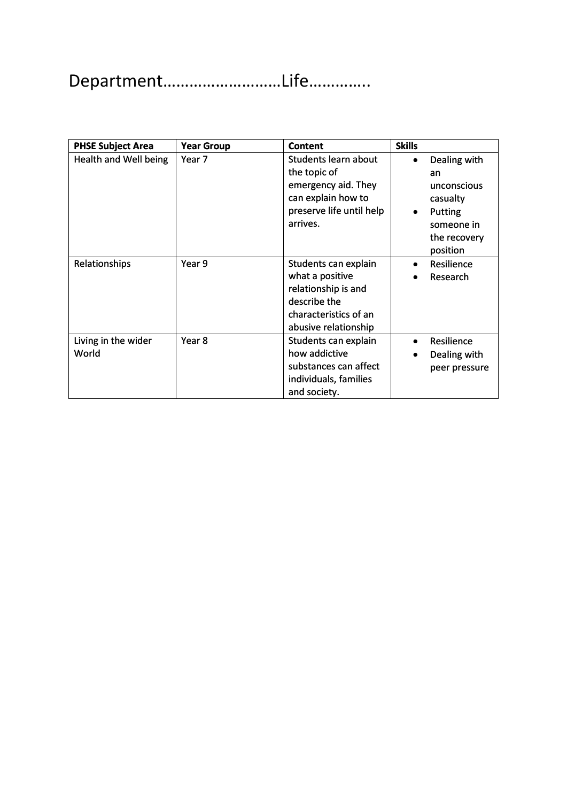# Department………………………Life…………..

| <b>PHSE Subject Area</b>     | <b>Year Group</b> | <b>Content</b>                                                                                                                  | <b>Skills</b>                                                                                                        |
|------------------------------|-------------------|---------------------------------------------------------------------------------------------------------------------------------|----------------------------------------------------------------------------------------------------------------------|
| Health and Well being        | Year 7            | Students learn about<br>the topic of<br>emergency aid. They<br>can explain how to<br>preserve life until help<br>arrives.       | Dealing with<br>$\bullet$<br>an<br>unconscious<br>casualty<br>Putting<br>٠<br>someone in<br>the recovery<br>position |
| Relationships                | Year 9            | Students can explain<br>what a positive<br>relationship is and<br>describe the<br>characteristics of an<br>abusive relationship | Resilience<br>٠<br>Research                                                                                          |
| Living in the wider<br>World | Year 8            | Students can explain<br>how addictive<br>substances can affect<br>individuals, families<br>and society.                         | Resilience<br>$\bullet$<br>Dealing with<br>peer pressure                                                             |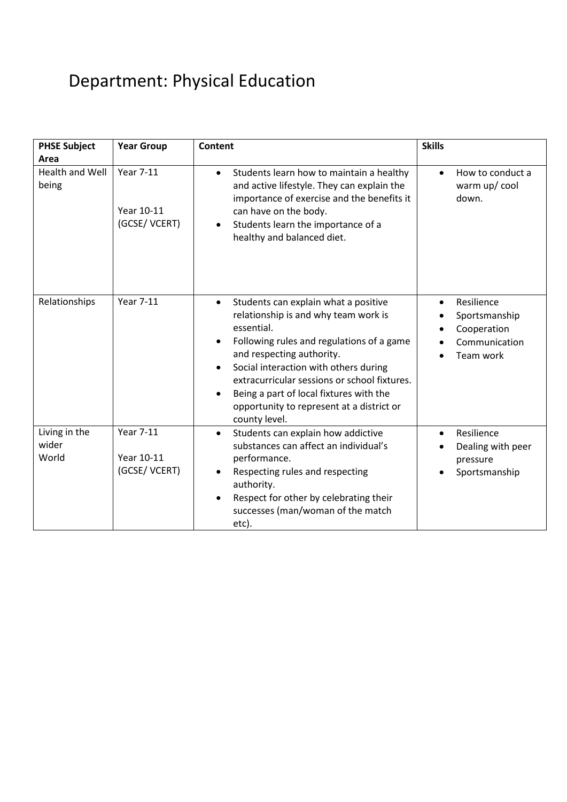## Department: Physical Education

| <b>PHSE Subject</b><br>Area     | <b>Year Group</b>                              | Content                                                                                                                                                                                                                                                                                                                                                                             | <b>Skills</b>                                                                         |
|---------------------------------|------------------------------------------------|-------------------------------------------------------------------------------------------------------------------------------------------------------------------------------------------------------------------------------------------------------------------------------------------------------------------------------------------------------------------------------------|---------------------------------------------------------------------------------------|
| <b>Health and Well</b><br>being | <b>Year 7-11</b><br>Year 10-11<br>(GCSE/VCERT) | Students learn how to maintain a healthy<br>$\bullet$<br>and active lifestyle. They can explain the<br>importance of exercise and the benefits it<br>can have on the body.<br>Students learn the importance of a<br>healthy and balanced diet.                                                                                                                                      | How to conduct a<br>$\bullet$<br>warm up/cool<br>down.                                |
| Relationships                   | <b>Year 7-11</b>                               | Students can explain what a positive<br>$\bullet$<br>relationship is and why team work is<br>essential.<br>Following rules and regulations of a game<br>and respecting authority.<br>Social interaction with others during<br>extracurricular sessions or school fixtures.<br>Being a part of local fixtures with the<br>opportunity to represent at a district or<br>county level. | Resilience<br>$\bullet$<br>Sportsmanship<br>Cooperation<br>Communication<br>Team work |
| Living in the<br>wider<br>World | <b>Year 7-11</b><br>Year 10-11<br>(GCSE/VCERT) | Students can explain how addictive<br>$\bullet$<br>substances can affect an individual's<br>performance.<br>Respecting rules and respecting<br>authority.<br>Respect for other by celebrating their<br>successes (man/woman of the match<br>etc).                                                                                                                                   | Resilience<br>$\bullet$<br>Dealing with peer<br>pressure<br>Sportsmanship             |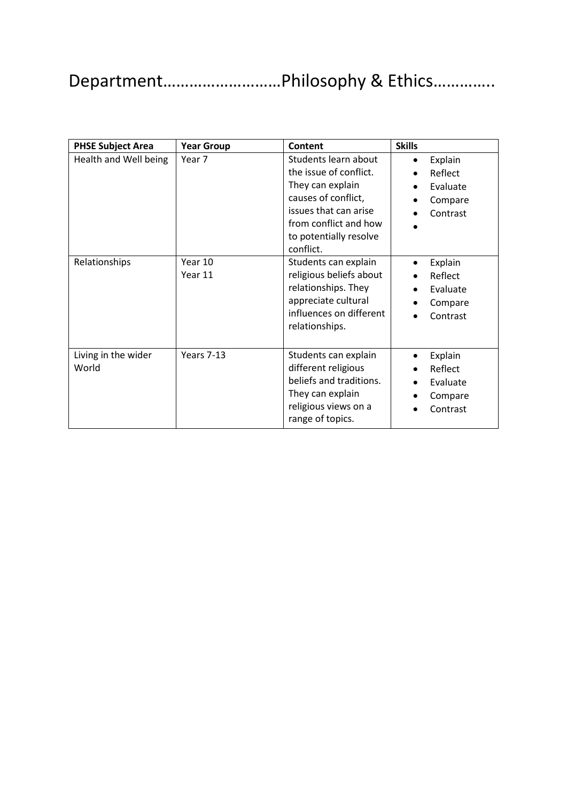### Department………………………Philosophy & Ethics…………..

| <b>PHSE Subject Area</b>     | <b>Year Group</b>  | Content                                                                                                                                                                            | <b>Skills</b>                                                      |
|------------------------------|--------------------|------------------------------------------------------------------------------------------------------------------------------------------------------------------------------------|--------------------------------------------------------------------|
| Health and Well being        | Year 7             | Students learn about<br>the issue of conflict.<br>They can explain<br>causes of conflict,<br>issues that can arise<br>from conflict and how<br>to potentially resolve<br>conflict. | Explain<br>$\bullet$<br>Reflect<br>Evaluate<br>Compare<br>Contrast |
| Relationships                | Year 10<br>Year 11 | Students can explain<br>religious beliefs about<br>relationships. They<br>appreciate cultural<br>influences on different<br>relationships.                                         | Explain<br>$\bullet$<br>Reflect<br>Evaluate<br>Compare<br>Contrast |
| Living in the wider<br>World | Years 7-13         | Students can explain<br>different religious<br>beliefs and traditions.<br>They can explain<br>religious views on a<br>range of topics.                                             | Explain<br>$\bullet$<br>Reflect<br>Evaluate<br>Compare<br>Contrast |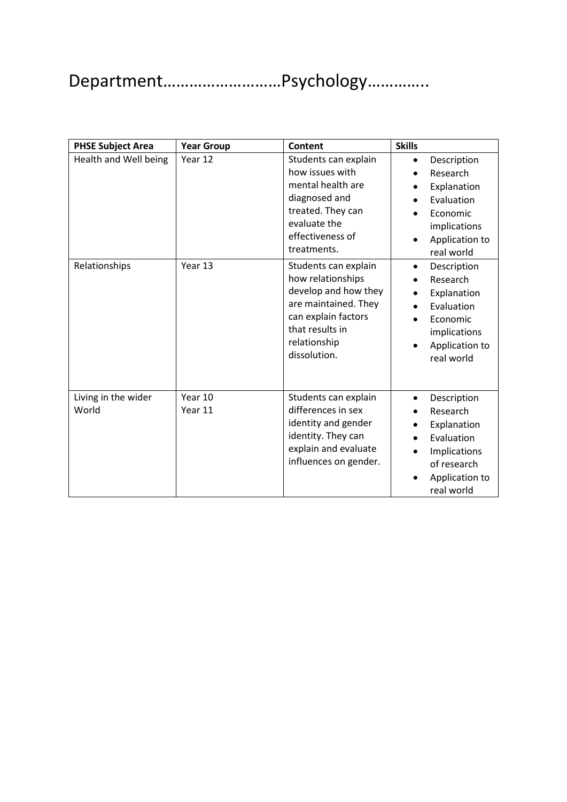# Department………………………Psychology…………..

| <b>PHSE Subject Area</b>     | <b>Year Group</b>  | <b>Content</b>                                                                                                                                                      | <b>Skills</b>                                                                                                                    |
|------------------------------|--------------------|---------------------------------------------------------------------------------------------------------------------------------------------------------------------|----------------------------------------------------------------------------------------------------------------------------------|
| Health and Well being        | Year 12            | Students can explain<br>how issues with<br>mental health are<br>diagnosed and<br>treated. They can<br>evaluate the<br>effectiveness of<br>treatments.               | Description<br>$\bullet$<br>Research<br>Explanation<br>Evaluation<br>Economic<br>implications<br>Application to<br>real world    |
| Relationships                | Year 13            | Students can explain<br>how relationships<br>develop and how they<br>are maintained. They<br>can explain factors<br>that results in<br>relationship<br>dissolution. | Description<br>٠<br>Research<br>Explanation<br>Evaluation<br>Economic<br>implications<br>Application to<br>real world            |
| Living in the wider<br>World | Year 10<br>Year 11 | Students can explain<br>differences in sex<br>identity and gender<br>identity. They can<br>explain and evaluate<br>influences on gender.                            | Description<br>$\bullet$<br>Research<br>Explanation<br>Evaluation<br>Implications<br>of research<br>Application to<br>real world |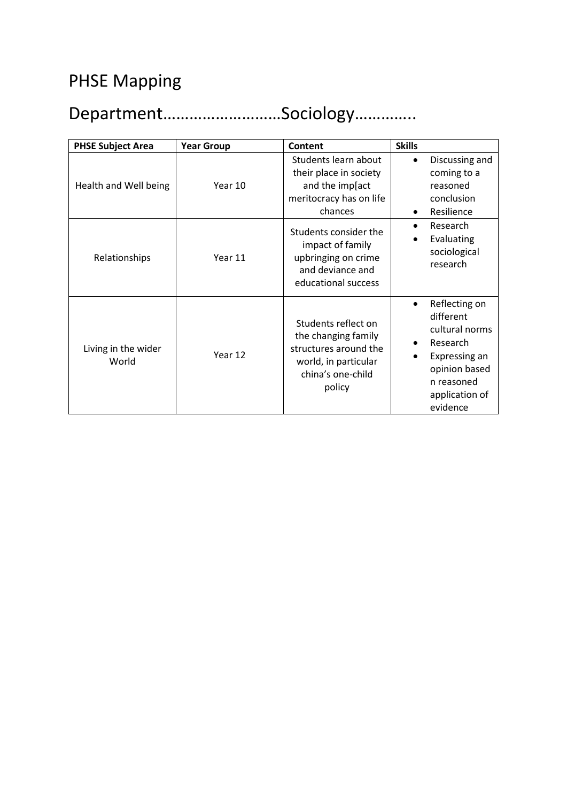#### PHSE Mapping

### Department………………………Sociology…………..

| <b>PHSE Subject Area</b>     | <b>Year Group</b> | Content                                                                                                                    | <b>Skills</b> |                                                                                                                                        |
|------------------------------|-------------------|----------------------------------------------------------------------------------------------------------------------------|---------------|----------------------------------------------------------------------------------------------------------------------------------------|
| Health and Well being        | Year 10           | Students learn about<br>their place in society<br>and the imp[act<br>meritocracy has on life<br>chances                    | $\bullet$     | Discussing and<br>coming to a<br>reasoned<br>conclusion<br>Resilience                                                                  |
| Relationships                | Year 11           | Students consider the<br>impact of family<br>upbringing on crime<br>and deviance and<br>educational success                | $\bullet$     | Research<br>Evaluating<br>sociological<br>research                                                                                     |
| Living in the wider<br>World | Year 12           | Students reflect on<br>the changing family<br>structures around the<br>world, in particular<br>china's one-child<br>policy | $\bullet$     | Reflecting on<br>different<br>cultural norms<br>Research<br>Expressing an<br>opinion based<br>n reasoned<br>application of<br>evidence |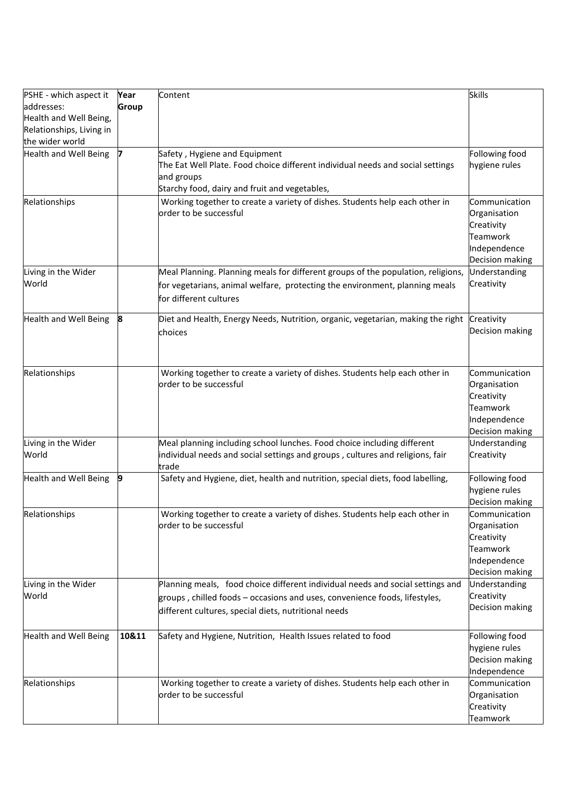| PSHE - which aspect it       | Year  | Content                                                                          | <b>Skills</b>   |
|------------------------------|-------|----------------------------------------------------------------------------------|-----------------|
| addresses:                   | Group |                                                                                  |                 |
| Health and Well Being,       |       |                                                                                  |                 |
| Relationships, Living in     |       |                                                                                  |                 |
| the wider world              |       |                                                                                  |                 |
| Health and Well Being        | 7     | Safety, Hygiene and Equipment                                                    | Following food  |
|                              |       | The Eat Well Plate. Food choice different individual needs and social settings   | hygiene rules   |
|                              |       | and groups                                                                       |                 |
|                              |       | Starchy food, dairy and fruit and vegetables,                                    |                 |
| Relationships                |       | Working together to create a variety of dishes. Students help each other in      | Communication   |
|                              |       | order to be successful                                                           | Organisation    |
|                              |       |                                                                                  | Creativity      |
|                              |       |                                                                                  | <b>Teamwork</b> |
|                              |       |                                                                                  | Independence    |
|                              |       |                                                                                  | Decision making |
| Living in the Wider          |       |                                                                                  | Understanding   |
| World                        |       | Meal Planning. Planning meals for different groups of the population, religions, | Creativity      |
|                              |       | for vegetarians, animal welfare, protecting the environment, planning meals      |                 |
|                              |       | for different cultures                                                           |                 |
| <b>Health and Well Being</b> | 8     | Diet and Health, Energy Needs, Nutrition, organic, vegetarian, making the right  | Creativity      |
|                              |       |                                                                                  | Decision making |
|                              |       | choices                                                                          |                 |
|                              |       |                                                                                  |                 |
|                              |       |                                                                                  |                 |
| Relationships                |       | Working together to create a variety of dishes. Students help each other in      | Communication   |
|                              |       | order to be successful                                                           | Organisation    |
|                              |       |                                                                                  | Creativity      |
|                              |       |                                                                                  | <b>Teamwork</b> |
|                              |       |                                                                                  | Independence    |
|                              |       |                                                                                  | Decision making |
| Living in the Wider          |       | Meal planning including school lunches. Food choice including different          | Understanding   |
| World                        |       | individual needs and social settings and groups, cultures and religions, fair    | Creativity      |
|                              |       | trade                                                                            |                 |
| <b>Health and Well Being</b> | 9     | Safety and Hygiene, diet, health and nutrition, special diets, food labelling,   | Following food  |
|                              |       |                                                                                  | hygiene rules   |
|                              |       |                                                                                  | Decision making |
| Relationships                |       | Working together to create a variety of dishes. Students help each other in      | Communication   |
|                              |       | order to be successful                                                           | Organisation    |
|                              |       |                                                                                  | Creativity      |
|                              |       |                                                                                  | <b>Teamwork</b> |
|                              |       |                                                                                  | Independence    |
|                              |       |                                                                                  | Decision making |
| Living in the Wider          |       | Planning meals, food choice different individual needs and social settings and   | Understanding   |
| World                        |       | groups, chilled foods - occasions and uses, convenience foods, lifestyles,       | Creativity      |
|                              |       | different cultures, special diets, nutritional needs                             | Decision making |
|                              |       |                                                                                  |                 |
| <b>Health and Well Being</b> | 10&11 | Safety and Hygiene, Nutrition, Health Issues related to food                     | Following food  |
|                              |       |                                                                                  | hygiene rules   |
|                              |       |                                                                                  | Decision making |
|                              |       |                                                                                  | Independence    |
| Relationships                |       | Working together to create a variety of dishes. Students help each other in      | Communication   |
|                              |       | order to be successful                                                           | Organisation    |
|                              |       |                                                                                  | Creativity      |
|                              |       |                                                                                  | Teamwork        |
|                              |       |                                                                                  |                 |